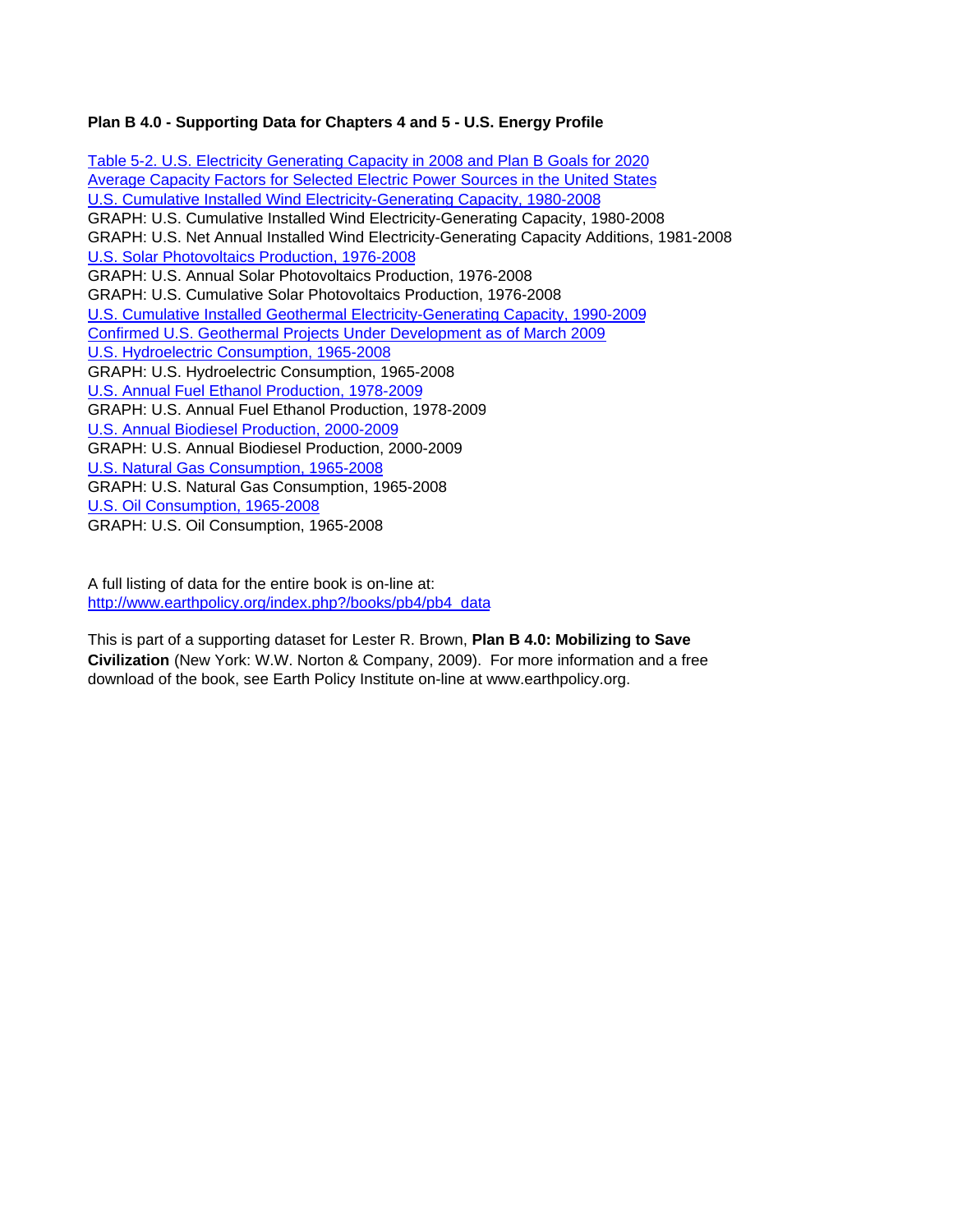## **Plan B 4.0 - Supporting Data for Chapters 4 and 5 - U.S. Energy Profile**

Table 5-2. U.S. Electricity Generating Capacity in 2008 and Plan B Goals for 2020 Average Capacity Factors for Selected Electric Power Sources in the United States U.S. Cumulative Installed Wind Electricity-Generating Capacity, 1980-2008 GRAPH: U.S. Cumulative Installed Wind Electricity-Generating Capacity, 1980-2008 GRAPH: U.S. Net Annual Installed Wind Electricity-Generating Capacity Additions, 1981-2008 U.S. Solar Photovoltaics Production, 1976-2008 GRAPH: U.S. Annual Solar Photovoltaics Production, 1976-2008 GRAPH: U.S. Cumulative Solar Photovoltaics Production, 1976-2008 U.S. Cumulative Installed Geothermal Electricity-Generating Capacity, 1990-2009 Confirmed U.S. Geothermal Projects Under Development as of March 2009 U.S. Hydroelectric Consumption, 1965-2008 GRAPH: U.S. Hydroelectric Consumption, 1965-2008 U.S. Annual Fuel Ethanol Production, 1978-2009 GRAPH: U.S. Annual Fuel Ethanol Production, 1978-2009 U.S. Annual Biodiesel Production, 2000-2009 GRAPH: U.S. Annual Biodiesel Production, 2000-2009 U.S. Natural Gas Consumption, 1965-2008 GRAPH: U.S. Natural Gas Consumption, 1965-2008 U.S. Oil Consumption, 1965-2008 GRAPH: U.S. Oil Consumption, 1965-2008

A full listing of data for the entire book is on-line at: http://www.earthpolicy.org/index.php?/books/pb4/pb4\_data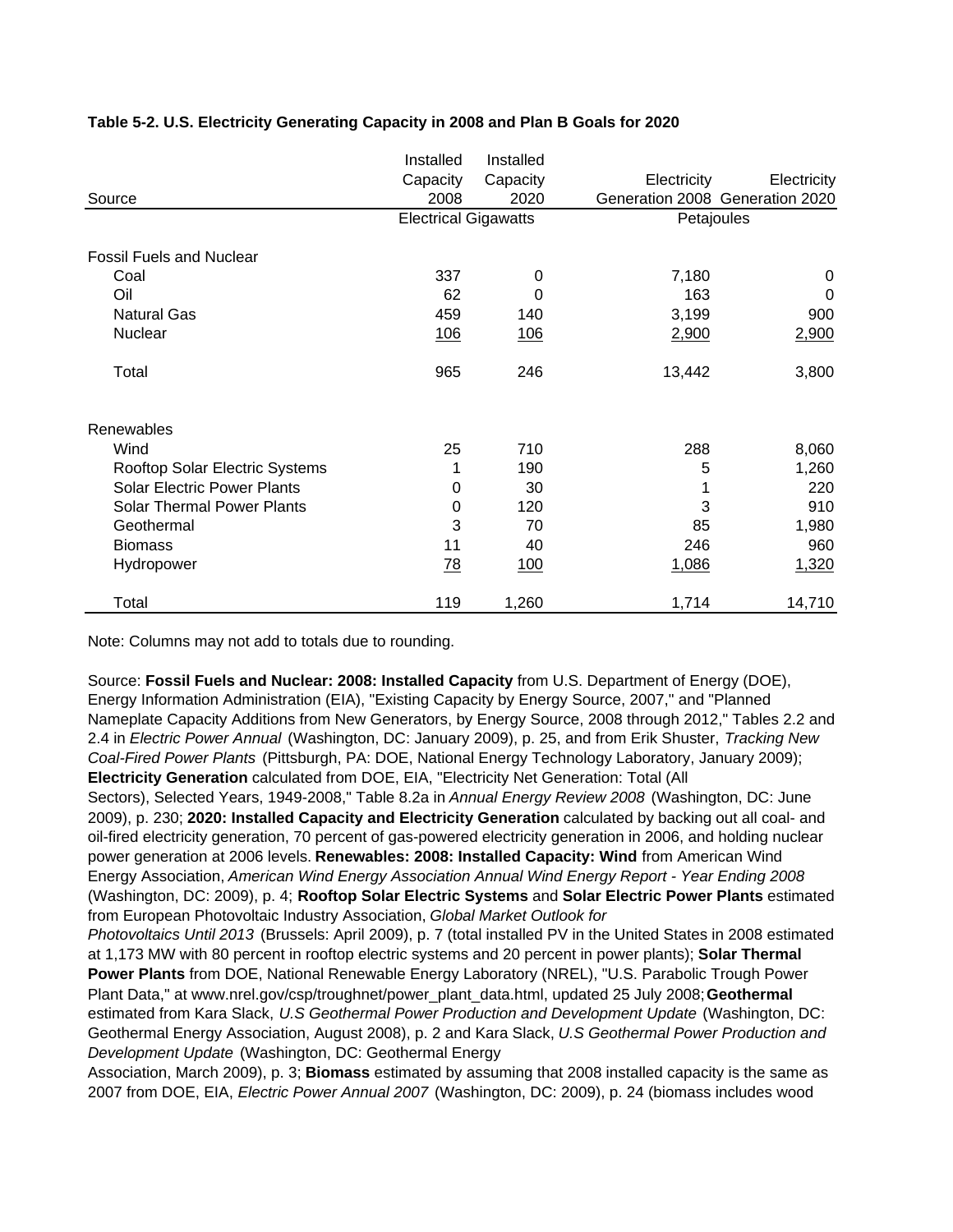|                                    | Installed                   | Installed  |             |                                 |
|------------------------------------|-----------------------------|------------|-------------|---------------------------------|
|                                    | Capacity                    | Capacity   | Electricity | Electricity                     |
| Source                             | 2008                        | 2020       |             | Generation 2008 Generation 2020 |
|                                    | <b>Electrical Gigawatts</b> |            | Petajoules  |                                 |
| <b>Fossil Fuels and Nuclear</b>    |                             |            |             |                                 |
| Coal                               | 337                         | 0          | 7,180       | 0                               |
| Oil                                | 62                          | 0          | 163         | $\Omega$                        |
| <b>Natural Gas</b>                 | 459                         | 140        | 3,199       | 900                             |
| Nuclear                            | 106                         | <u>106</u> | 2,900       | 2,900                           |
| Total                              | 965                         | 246        | 13,442      | 3,800                           |
| Renewables                         |                             |            |             |                                 |
| Wind                               | 25                          | 710        | 288         | 8,060                           |
| Rooftop Solar Electric Systems     |                             | 190        | 5           | 1,260                           |
| <b>Solar Electric Power Plants</b> | 0                           | 30         |             | 220                             |
| Solar Thermal Power Plants         | 0                           | 120        | 3           | 910                             |
| Geothermal                         | 3                           | 70         | 85          | 1,980                           |
| <b>Biomass</b>                     | 11                          | 40         | 246         | 960                             |
| Hydropower                         | <u>78</u>                   | 100        | 1,086       | 1,320                           |
| Total                              | 119                         | 1,260      | 1,714       | 14,710                          |

### **Table 5-2. U.S. Electricity Generating Capacity in 2008 and Plan B Goals for 2020**

Note: Columns may not add to totals due to rounding.

*Photovoltaics Until 2013* (Brussels: April 2009), p. 7 (total installed PV in the United States in 2008 estimated at 1,173 MW with 80 percent in rooftop electric systems and 20 percent in power plants); **Solar Thermal Power Plants** from DOE, National Renewable Energy Laboratory (NREL), "U.S. Parabolic Trough Power Source: **Fossil Fuels and Nuclear: 2008: Installed Capacity** from U.S. Department of Energy (DOE), Energy Information Administration (EIA), "Existing Capacity by Energy Source, 2007," and "Planned Nameplate Capacity Additions from New Generators, by Energy Source, 2008 through 2012," Tables 2.2 and 2.4 in *Electric Power Annual* (Washington, DC: January 2009), p. 25, and from Erik Shuster, *Tracking New Coal-Fired Power Plants* (Pittsburgh, PA: DOE, National Energy Technology Laboratory, January 2009); **Electricity Generation** calculated from DOE, EIA, "Electricity Net Generation: Total (All Sectors), Selected Years, 1949-2008," Table 8.2a in *Annual Energy Review 2008* (Washington, DC: June 2009), p. 230; **2020: Installed Capacity and Electricity Generation** calculated by backing out all coal- and oil-fired electricity generation, 70 percent of gas-powered electricity generation in 2006, and holding nuclear power generation at 2006 levels. **Renewables: 2008: Installed Capacity: Wind** from American Wind Energy Association, *American Wind Energy Association Annual Wind Energy Report - Year Ending 2008*  (Washington, DC: 2009), p. 4; **Rooftop Solar Electric Systems** and **Solar Electric Power Plants** estimated from European Photovoltaic Industry Association, *Global Market Outlook for* 

Plant Data," at www.nrel.gov/csp/troughnet/power\_plant\_data.html, updated 25 July 2008; **Geothermal**  estimated from Kara Slack, *U.S Geothermal Power Production and Development Update* (Washington, DC: Geothermal Energy Association, August 2008), p. 2 and Kara Slack, *U.S Geothermal Power Production and Development Update* (Washington, DC: Geothermal Energy

Association, March 2009), p. 3; **Biomass** estimated by assuming that 2008 installed capacity is the same as 2007 from DOE, EIA, *Electric Power Annual 2007* (Washington, DC: 2009), p. 24 (biomass includes wood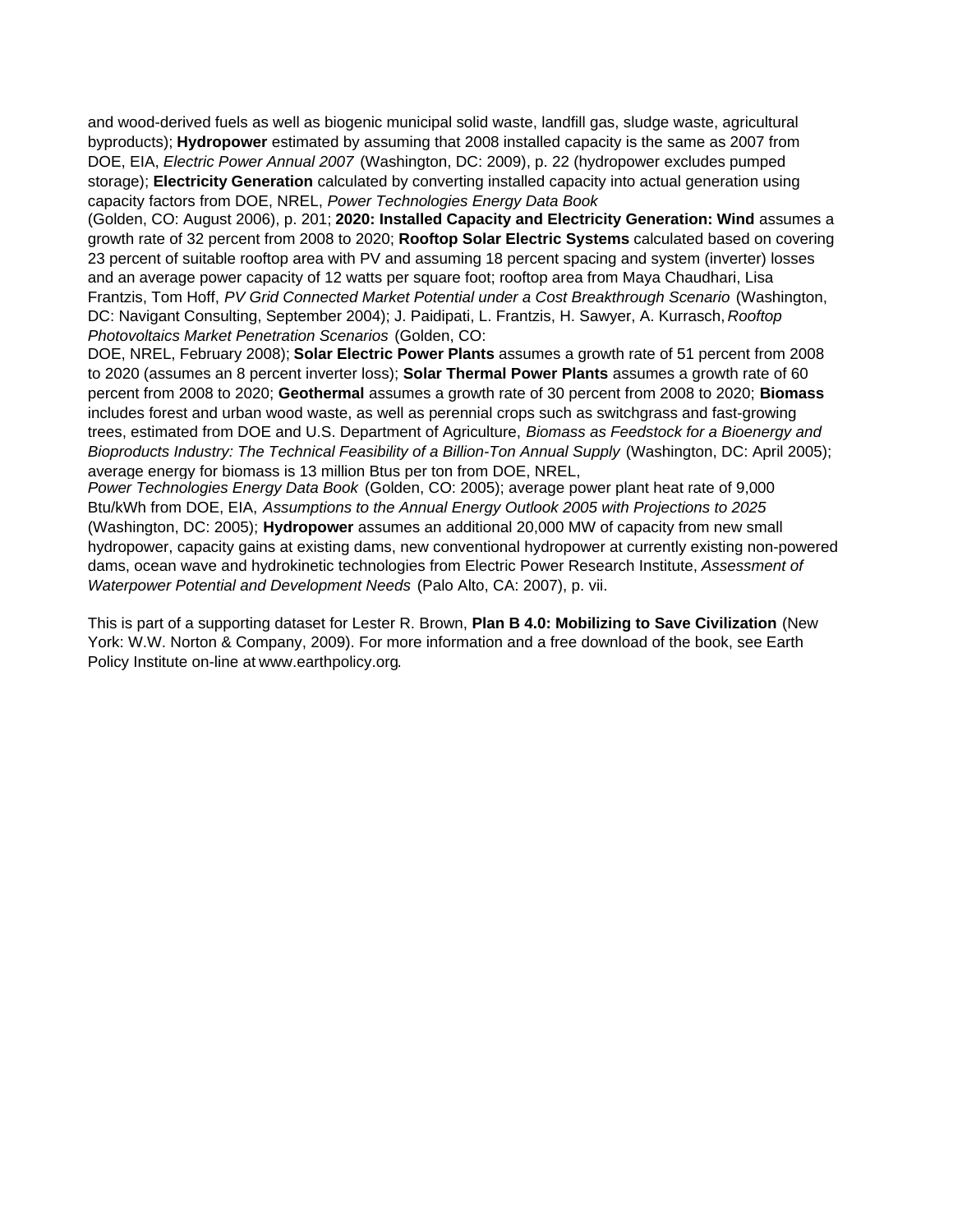and wood-derived fuels as well as biogenic municipal solid waste, landfill gas, sludge waste, agricultural byproducts); **Hydropower** estimated by assuming that 2008 installed capacity is the same as 2007 from DOE, EIA, *Electric Power Annual 2007* (Washington, DC: 2009), p. 22 (hydropower excludes pumped storage); **Electricity Generation** calculated by converting installed capacity into actual generation using capacity factors from DOE, NREL, *Power Technologies Energy Data Book*

(Golden, CO: August 2006), p. 201; **2020: Installed Capacity and Electricity Generation: Wind** assumes a growth rate of 32 percent from 2008 to 2020; **Rooftop Solar Electric Systems** calculated based on covering 23 percent of suitable rooftop area with PV and assuming 18 percent spacing and system (inverter) losses and an average power capacity of 12 watts per square foot; rooftop area from Maya Chaudhari, Lisa Frantzis, Tom Hoff, *PV Grid Connected Market Potential under a Cost Breakthrough Scenario* (Washington, DC: Navigant Consulting, September 2004); J. Paidipati, L. Frantzis, H. Sawyer, A. Kurrasch, *Rooftop Photovoltaics Market Penetration Scenarios* (Golden, CO:

DOE, NREL, February 2008); **Solar Electric Power Plants** assumes a growth rate of 51 percent from 2008 to 2020 (assumes an 8 percent inverter loss); **Solar Thermal Power Plants** assumes a growth rate of 60 percent from 2008 to 2020; **Geothermal** assumes a growth rate of 30 percent from 2008 to 2020; **Biomass**  includes forest and urban wood waste, as well as perennial crops such as switchgrass and fast-growing trees, estimated from DOE and U.S. Department of Agriculture, *Biomass as Feedstock for a Bioenergy and Bioproducts Industry: The Technical Feasibility of a Billion-Ton Annual Supply* (Washington, DC: April 2005); average energy for biomass is 13 million Btus per ton from DOE, NREL,

*Power Technologies Energy Data Book* (Golden, CO: 2005); average power plant heat rate of 9,000 Btu/kWh from DOE, EIA, *Assumptions to the Annual Energy Outlook 2005 with Projections to 2025*  (Washington, DC: 2005); **Hydropower** assumes an additional 20,000 MW of capacity from new small hydropower, capacity gains at existing dams, new conventional hydropower at currently existing non-powered dams, ocean wave and hydrokinetic technologies from Electric Power Research Institute, *Assessment of Waterpower Potential and Development Needs* (Palo Alto, CA: 2007), p. vii.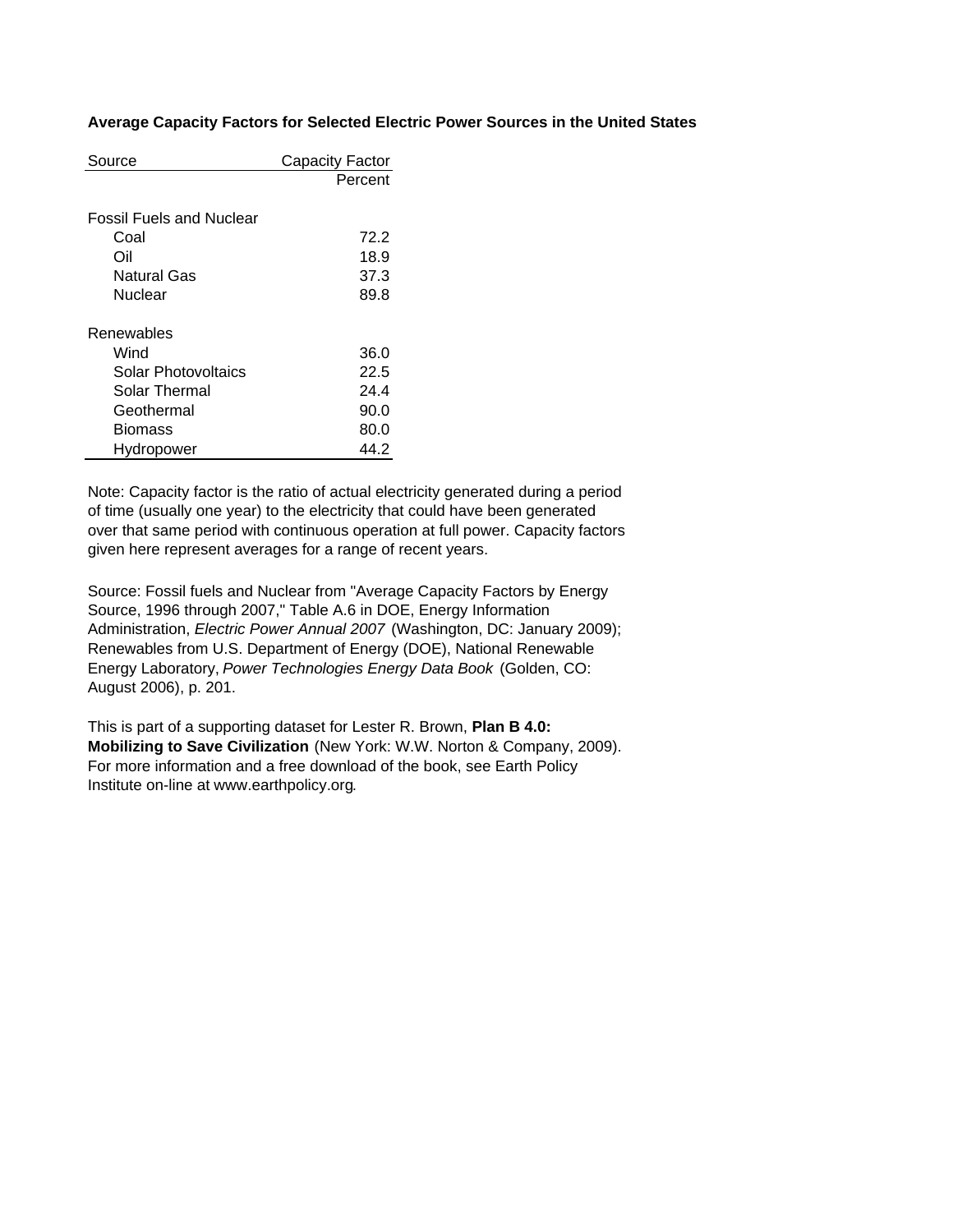### **Average Capacity Factors for Selected Electric Power Sources in the United States**

| Source                   | Capacity Factor |
|--------------------------|-----------------|
|                          | Percent         |
|                          |                 |
| Fossil Fuels and Nuclear |                 |
| Coal                     | 72.2            |
| Oil                      | 18.9            |
| Natural Gas              | 37.3            |
| Nuclear                  | 89.8            |
|                          |                 |
| Renewables               |                 |
| Wind                     | 36.0            |
| Solar Photovoltaics      | 22.5            |
| Solar Thermal            | 24.4            |
| Geothermal               | 90.0            |
| Biomass                  | 80.0            |
| Hydropower               | 44.2            |

Note: Capacity factor is the ratio of actual electricity generated during a period of time (usually one year) to the electricity that could have been generated over that same period with continuous operation at full power. Capacity factors given here represent averages for a range of recent years.

Source: Fossil fuels and Nuclear from "Average Capacity Factors by Energy Source, 1996 through 2007," Table A.6 in DOE, Energy Information Administration, *Electric Power Annual 2007* (Washington, DC: January 2009); Renewables from U.S. Department of Energy (DOE), National Renewable Energy Laboratory, *Power Technologies Energy Data Book* (Golden, CO: August 2006), p. 201.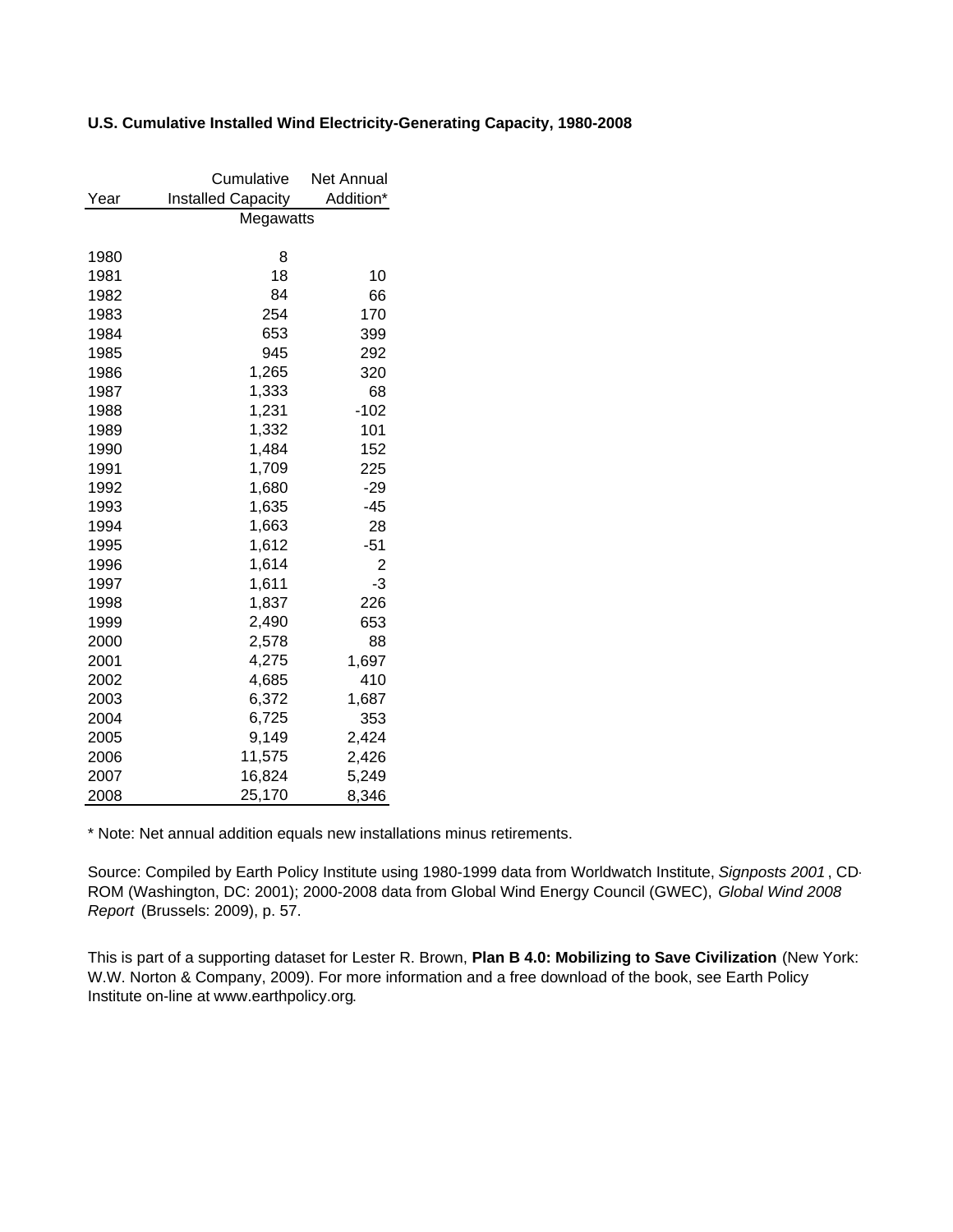### **U.S. Cumulative Installed Wind Electricity-Generating Capacity, 1980-2008**

|      | Cumulative                | Net Annual |
|------|---------------------------|------------|
| Year | <b>Installed Capacity</b> | Addition*  |
|      | Megawatts                 |            |
|      |                           |            |
| 1980 | 8                         |            |
| 1981 | 18                        | 10         |
| 1982 | 84                        | 66         |
| 1983 | 254                       | 170        |
| 1984 | 653                       | 399        |
| 1985 | 945                       | 292        |
| 1986 | 1,265                     | 320        |
| 1987 | 1,333                     | 68         |
| 1988 | 1,231                     | $-102$     |
| 1989 | 1,332                     | 101        |
| 1990 | 1,484                     | 152        |
| 1991 | 1,709                     | 225        |
| 1992 | 1,680                     | -29        |
| 1993 | 1,635                     | $-45$      |
| 1994 | 1,663                     | 28         |
| 1995 | 1,612                     | $-51$      |
| 1996 | 1,614                     | 2          |
| 1997 | 1,611                     | -3         |
| 1998 | 1,837                     | 226        |
| 1999 | 2,490                     | 653        |
| 2000 | 2,578                     | 88         |
| 2001 | 4,275                     | 1,697      |
| 2002 | 4,685                     | 410        |
| 2003 | 6,372                     | 1,687      |
| 2004 | 6,725                     | 353        |
| 2005 | 9,149                     | 2,424      |
| 2006 | 11,575                    | 2,426      |
| 2007 | 16,824                    | 5,249      |
| 2008 | 25,170                    | 8,346      |

\* Note: Net annual addition equals new installations minus retirements.

Source: Compiled by Earth Policy Institute using 1980-1999 data from Worldwatch Institute, *Signposts 2001* , CD-ROM (Washington, DC: 2001); 2000-2008 data from Global Wind Energy Council (GWEC), *Global Wind 2008 Report* (Brussels: 2009), p. 57.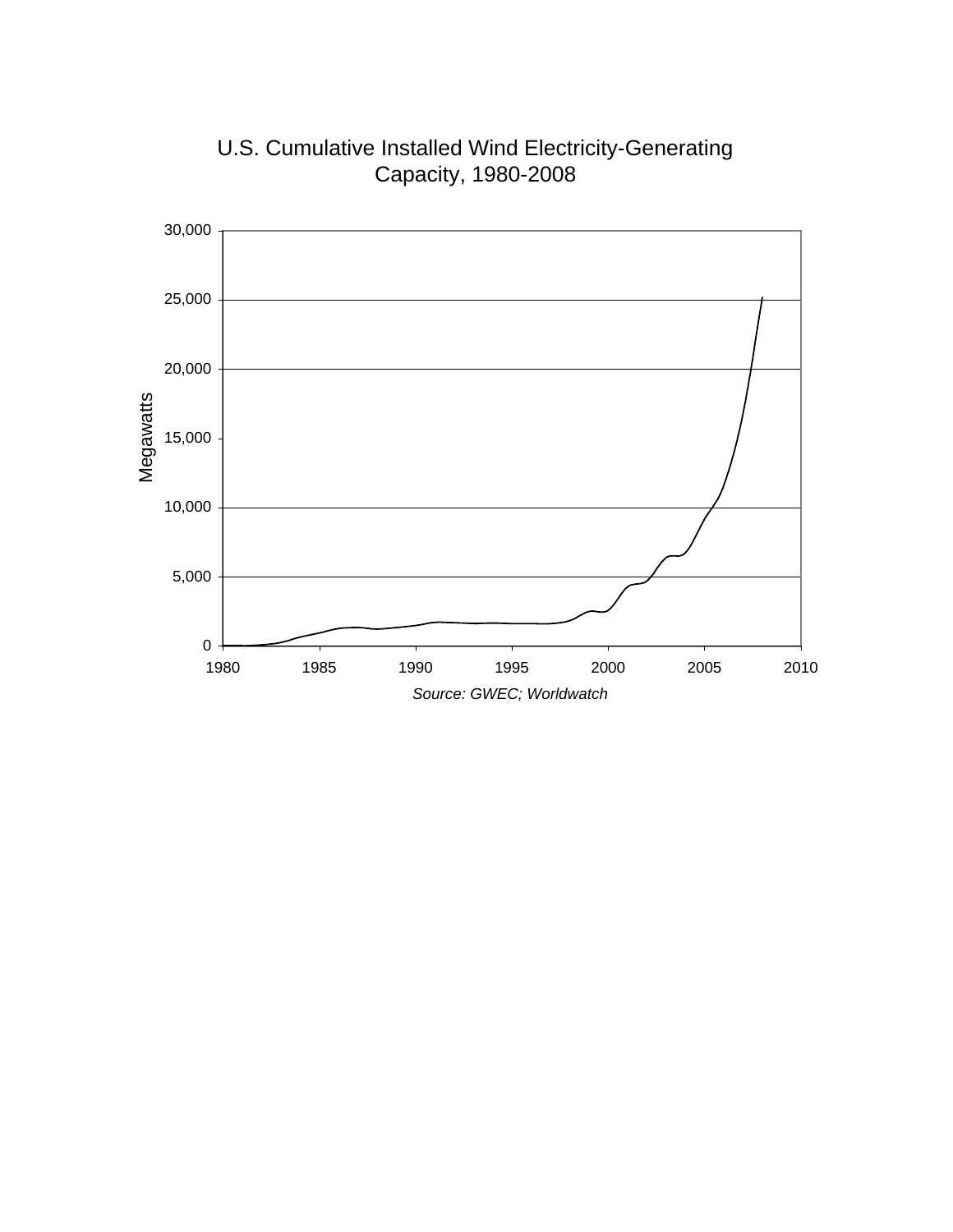

U.S. Cumulative Installed Wind Electricity-Generating Capacity, 1980-2008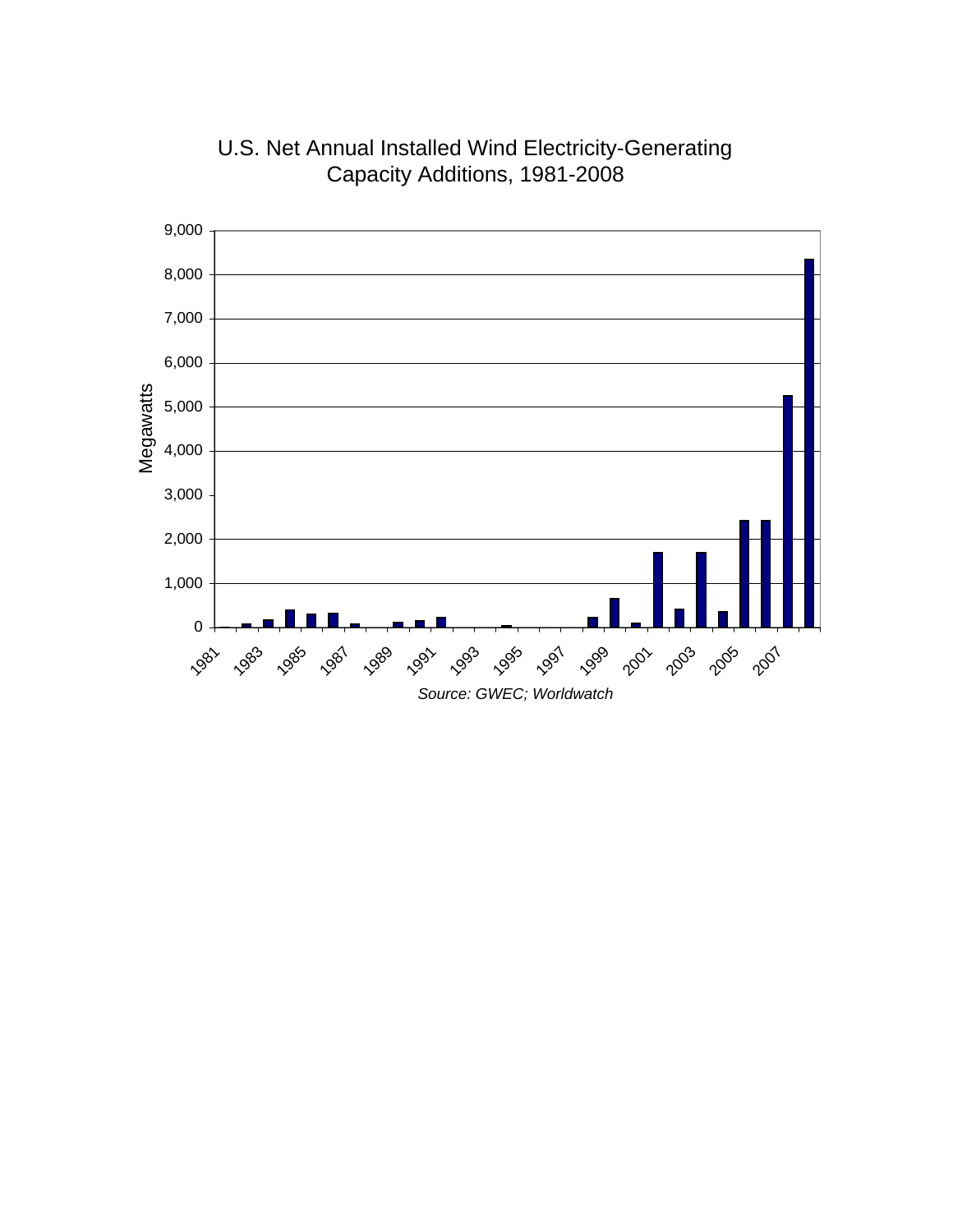

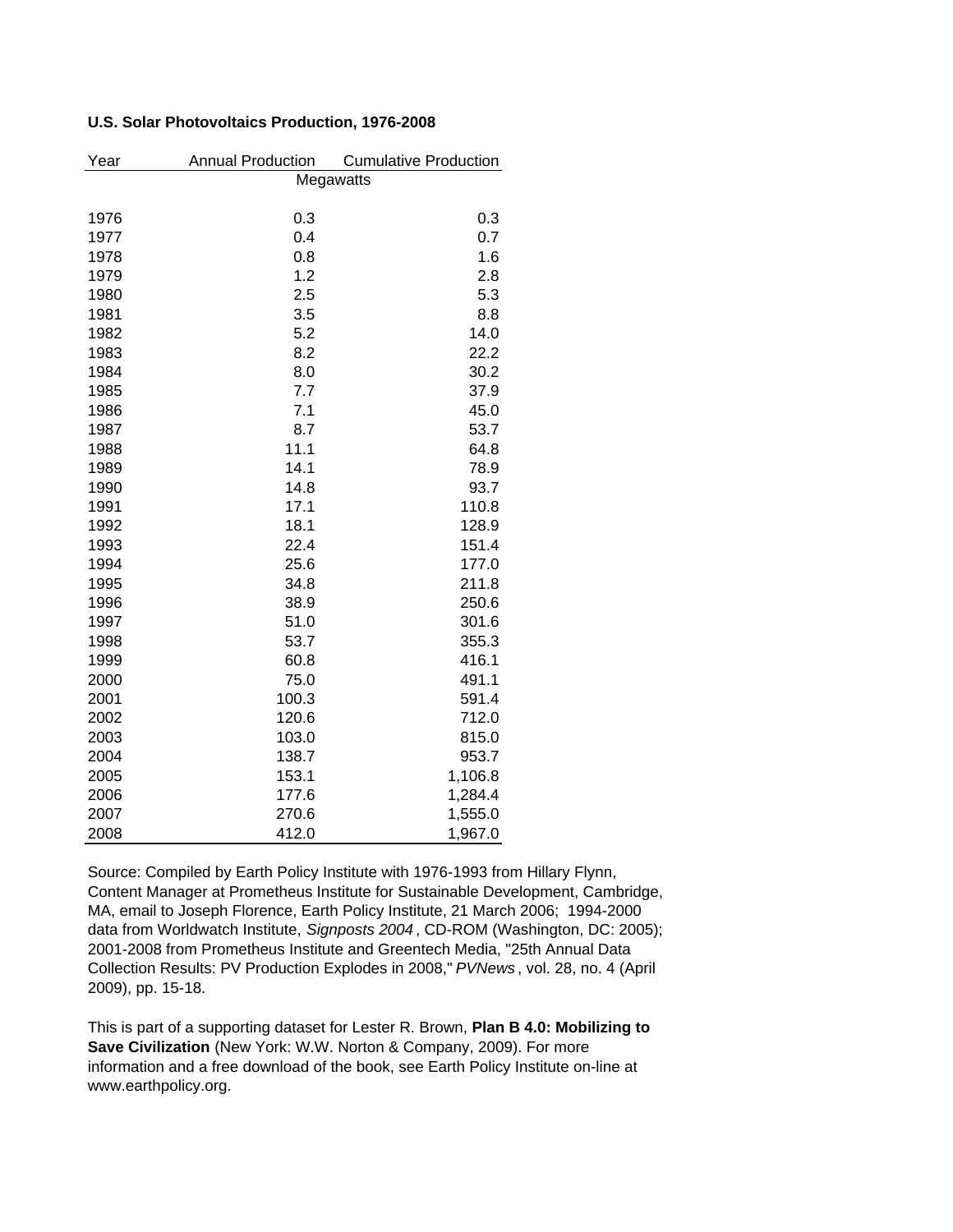## **U.S. Solar Photovoltaics Production, 1976-2008**

| Year | <b>Annual Production</b> | <b>Cumulative Production</b> |
|------|--------------------------|------------------------------|
|      | Megawatts                |                              |
| 1976 | 0.3                      | 0.3                          |
| 1977 | 0.4                      | 0.7                          |
| 1978 | 0.8                      | 1.6                          |
| 1979 | 1.2                      | 2.8                          |
| 1980 | 2.5                      | 5.3                          |
| 1981 | 3.5                      | 8.8                          |
| 1982 | 5.2                      | 14.0                         |
| 1983 | 8.2                      | 22.2                         |
| 1984 | 8.0                      | 30.2                         |
| 1985 | 7.7                      | 37.9                         |
| 1986 | 7.1                      | 45.0                         |
| 1987 | 8.7                      | 53.7                         |
| 1988 | 11.1                     | 64.8                         |
| 1989 | 14.1                     | 78.9                         |
| 1990 | 14.8                     | 93.7                         |
| 1991 | 17.1                     | 110.8                        |
| 1992 | 18.1                     | 128.9                        |
| 1993 | 22.4                     | 151.4                        |
| 1994 | 25.6                     | 177.0                        |
| 1995 | 34.8                     | 211.8                        |
| 1996 | 38.9                     | 250.6                        |
| 1997 | 51.0                     | 301.6                        |
| 1998 | 53.7                     | 355.3                        |
| 1999 | 60.8                     | 416.1                        |
| 2000 | 75.0                     | 491.1                        |
| 2001 | 100.3                    | 591.4                        |
| 2002 | 120.6                    | 712.0                        |
| 2003 | 103.0                    | 815.0                        |
| 2004 | 138.7                    | 953.7                        |
| 2005 | 153.1                    | 1,106.8                      |
| 2006 | 177.6                    | 1,284.4                      |
| 2007 | 270.6                    | 1,555.0                      |
| 2008 | 412.0                    | 1,967.0                      |

Source: Compiled by Earth Policy Institute with 1976-1993 from Hillary Flynn, Content Manager at Prometheus Institute for Sustainable Development, Cambridge, MA, email to Joseph Florence, Earth Policy Institute, 21 March 2006; 1994-2000 data from Worldwatch Institute, *Signposts 2004* , CD-ROM (Washington, DC: 2005); 2001-2008 from Prometheus Institute and Greentech Media, "25th Annual Data Collection Results: PV Production Explodes in 2008," *PVNews* , vol. 28, no. 4 (April 2009), pp. 15-18.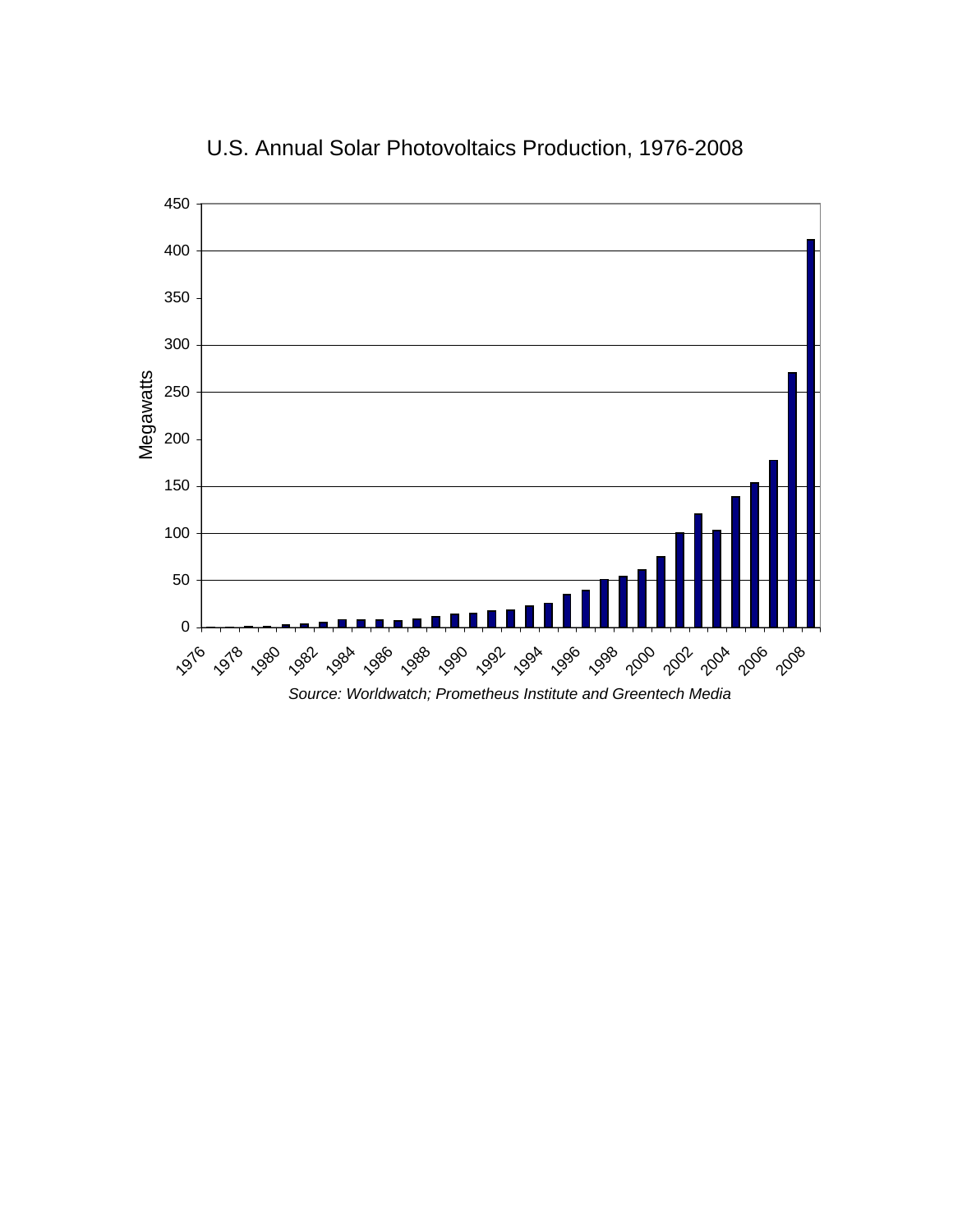

U.S. Annual Solar Photovoltaics Production, 1976-2008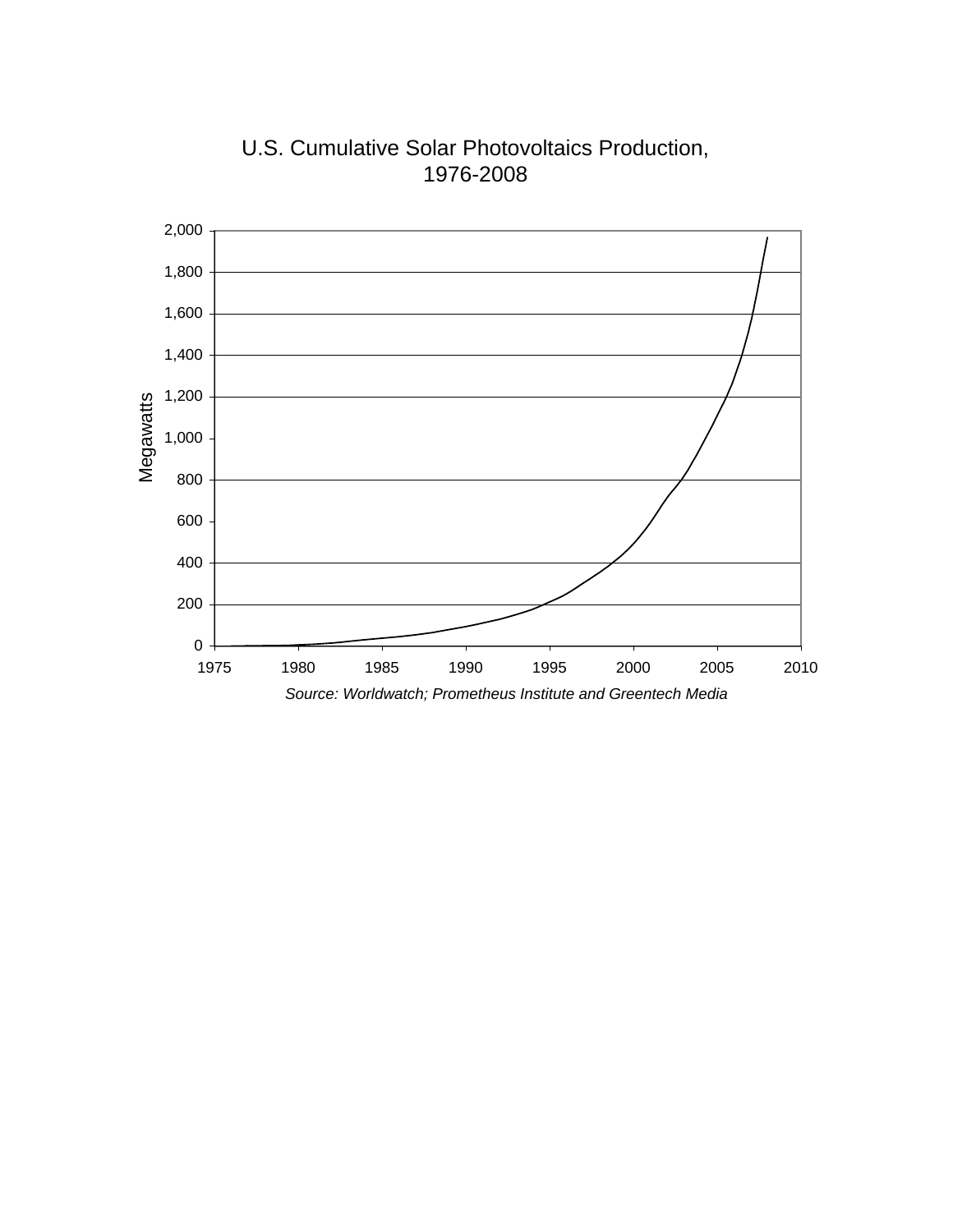

U.S. Cumulative Solar Photovoltaics Production, 1976-2008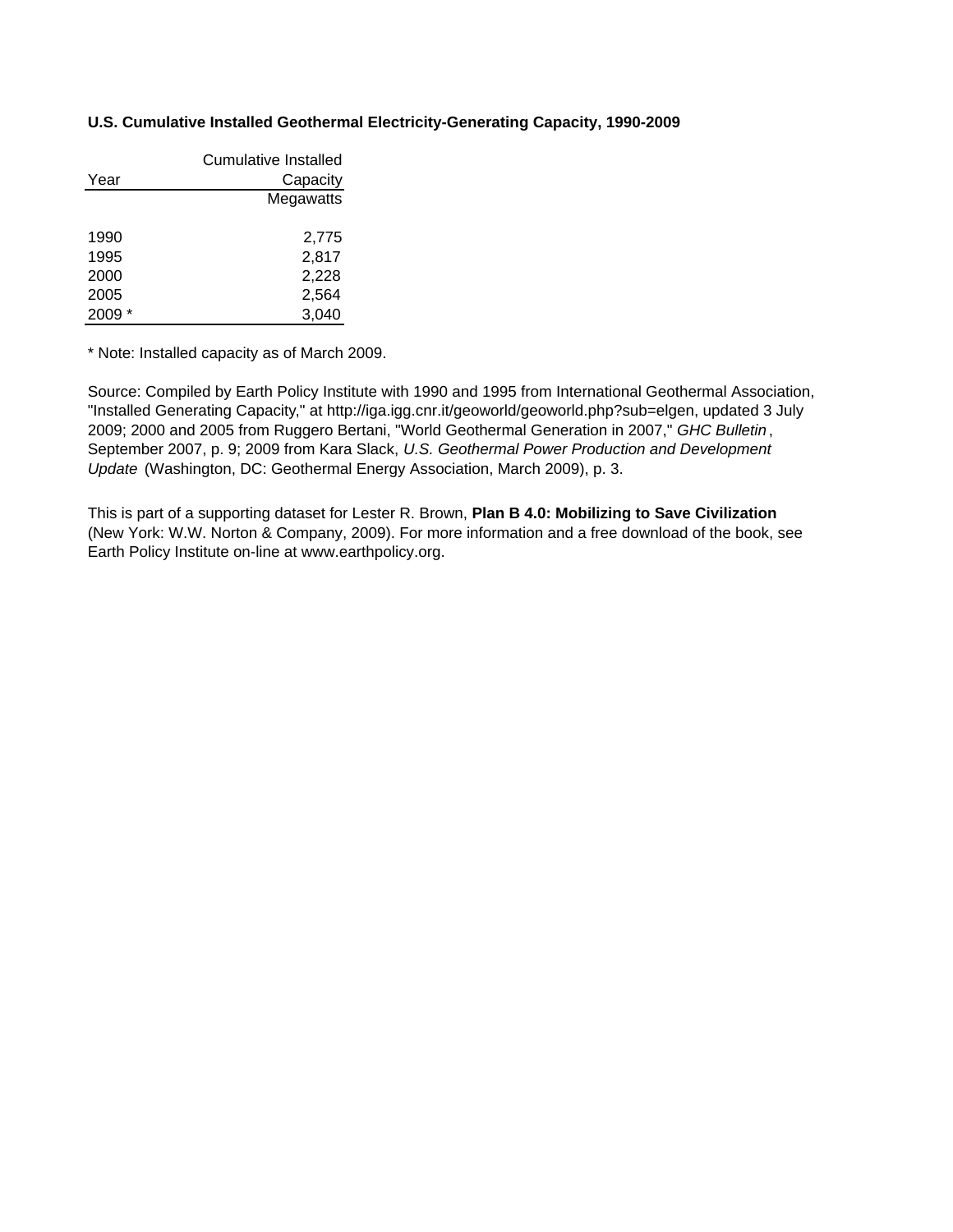### **U.S. Cumulative Installed Geothermal Electricity-Generating Capacity, 1990-2009**

|      | Cumulative Installed |
|------|----------------------|
| Year | Capacity             |
|      | Megawatts            |
|      |                      |
| 1990 | 2,775                |
| 1995 | 2,817                |
| 2000 | 2,228                |
| 2005 | 2,564                |
| 2009 | 3,040                |

\* Note: Installed capacity as of March 2009.

Source: Compiled by Earth Policy Institute with 1990 and 1995 from International Geothermal Association, "Installed Generating Capacity," at http://iga.igg.cnr.it/geoworld/geoworld.php?sub=elgen, updated 3 July 2009; 2000 and 2005 from Ruggero Bertani, "World Geothermal Generation in 2007," *GHC Bulletin* , September 2007, p. 9; 2009 from Kara Slack, *U.S. Geothermal Power Production and Development Update* (Washington, DC: Geothermal Energy Association, March 2009), p. 3.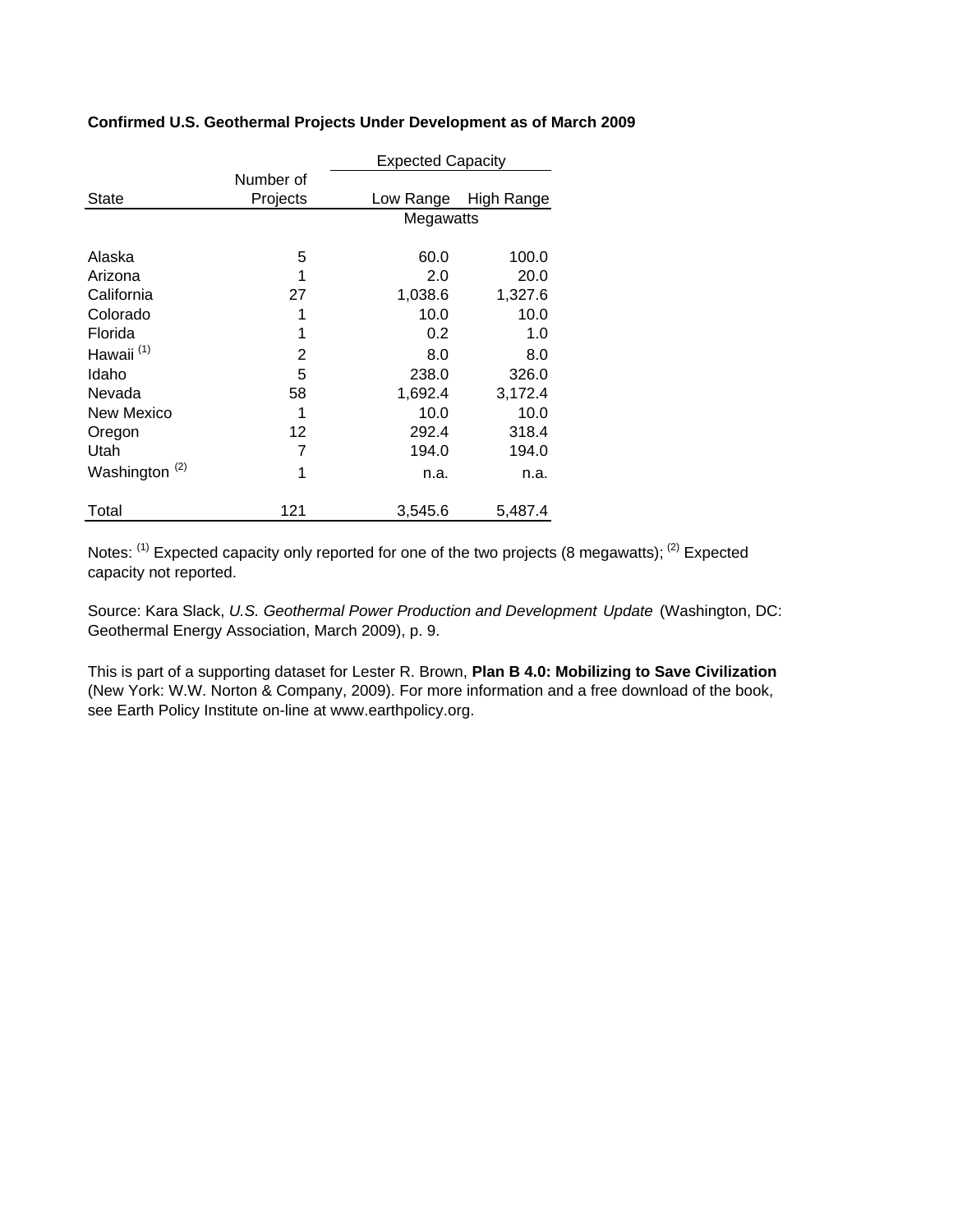|                           |           | <b>Expected Capacity</b> |            |
|---------------------------|-----------|--------------------------|------------|
|                           | Number of |                          |            |
| State                     | Projects  | Low Range                | High Range |
|                           |           | Megawatts                |            |
| Alaska                    | 5         | 60.0                     | 100.0      |
| Arizona                   | 1         | 2.0                      | 20.0       |
| California                | 27        | 1,038.6                  | 1,327.6    |
| Colorado                  | 1         | 10.0                     | 10.0       |
| Florida                   | 1         | 0.2                      | 1.0        |
| Hawaii <sup>(1)</sup>     | 2         | 8.0                      | 8.0        |
| Idaho                     | 5         | 238.0                    | 326.0      |
| Nevada                    | 58        | 1,692.4                  | 3,172.4    |
| New Mexico                | 1         | 10.0                     | 10.0       |
| Oregon                    | 12        | 292.4                    | 318.4      |
| Utah                      | 7         | 194.0                    | 194.0      |
| Washington <sup>(2)</sup> | 1         | n.a.                     | n.a.       |
| Total                     | 121       | 3,545.6                  | 5,487.4    |

## **Confirmed U.S. Geothermal Projects Under Development as of March 2009**

Notes: <sup>(1)</sup> Expected capacity only reported for one of the two projects (8 megawatts); <sup>(2)</sup> Expected capacity not reported.

Source: Kara Slack, *U.S. Geothermal Power Production and Development Update* (Washington, DC: Geothermal Energy Association, March 2009), p. 9.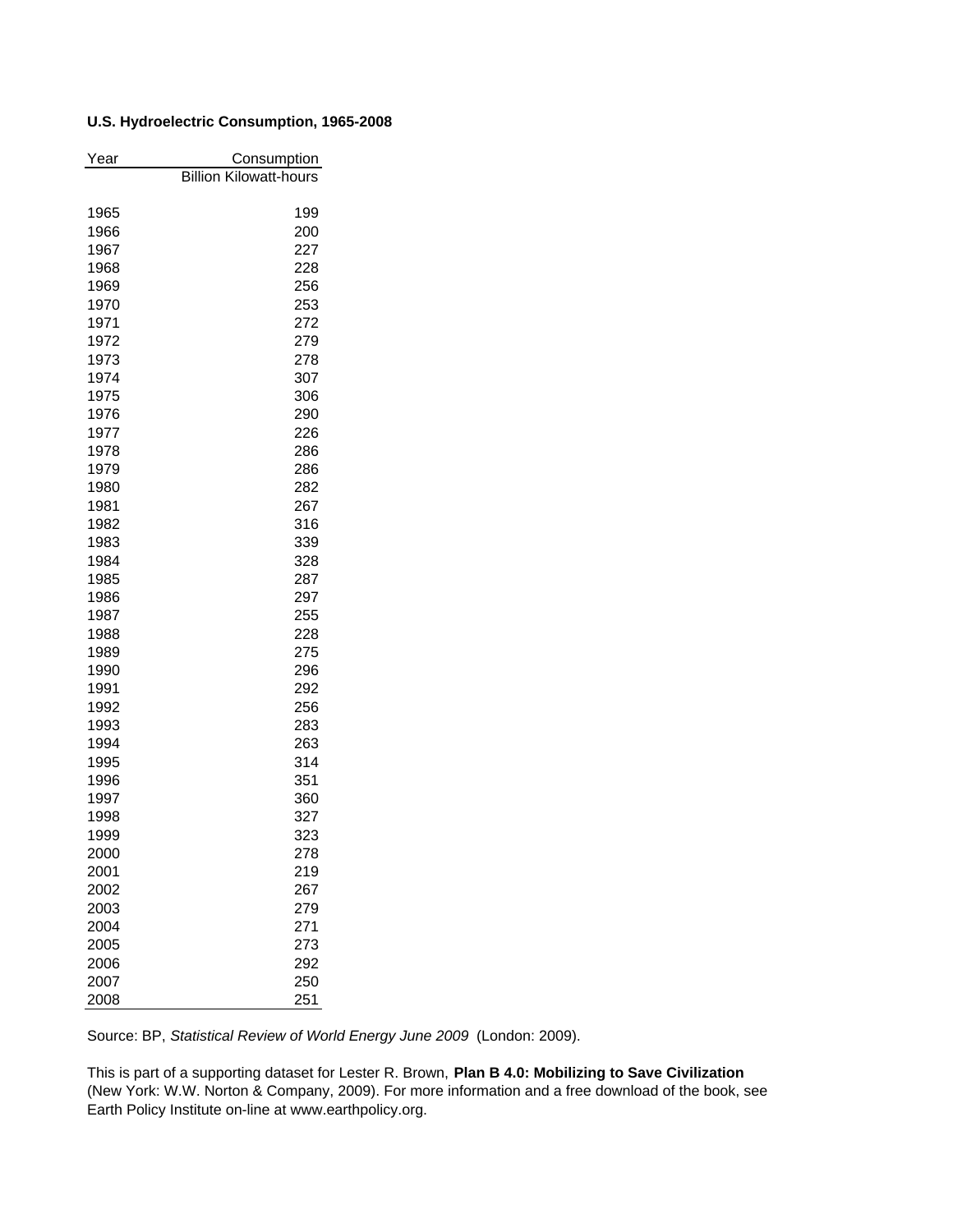## **U.S. Hydroelectric Consumption, 1965-2008**

| Year | Consumption                   |
|------|-------------------------------|
|      | <b>Billion Kilowatt-hours</b> |
|      |                               |
| 1965 | 199                           |
| 1966 | 200                           |
| 1967 | 227                           |
| 1968 | 228                           |
| 1969 | 256                           |
| 1970 | 253                           |
| 1971 | 272                           |
| 1972 | 279                           |
| 1973 | 278                           |
| 1974 | 307                           |
| 1975 | 306                           |
| 1976 | 290                           |
| 1977 | 226                           |
| 1978 | 286                           |
| 1979 | 286                           |
| 1980 | 282                           |
| 1981 | 267                           |
| 1982 | 316                           |
| 1983 | 339                           |
| 1984 | 328                           |
| 1985 | 287                           |
| 1986 | 297                           |
| 1987 | 255                           |
| 1988 | 228                           |
| 1989 | 275                           |
| 1990 | 296                           |
| 1991 | 292                           |
| 1992 | 256                           |
| 1993 | 283                           |
| 1994 | 263                           |
| 1995 | 314                           |
| 1996 | 351                           |
| 1997 | 360                           |
| 1998 | 327                           |
| 1999 | 323                           |
| 2000 | 278                           |
| 2001 | 219                           |
| 2002 | 267                           |
| 2003 | 279                           |
| 2004 | 271                           |
| 2005 | 273                           |
| 2006 | 292                           |
| 2007 | 250                           |
| 2008 | 251                           |

Source: BP, *Statistical Review of World Energy June 2009* (London: 2009).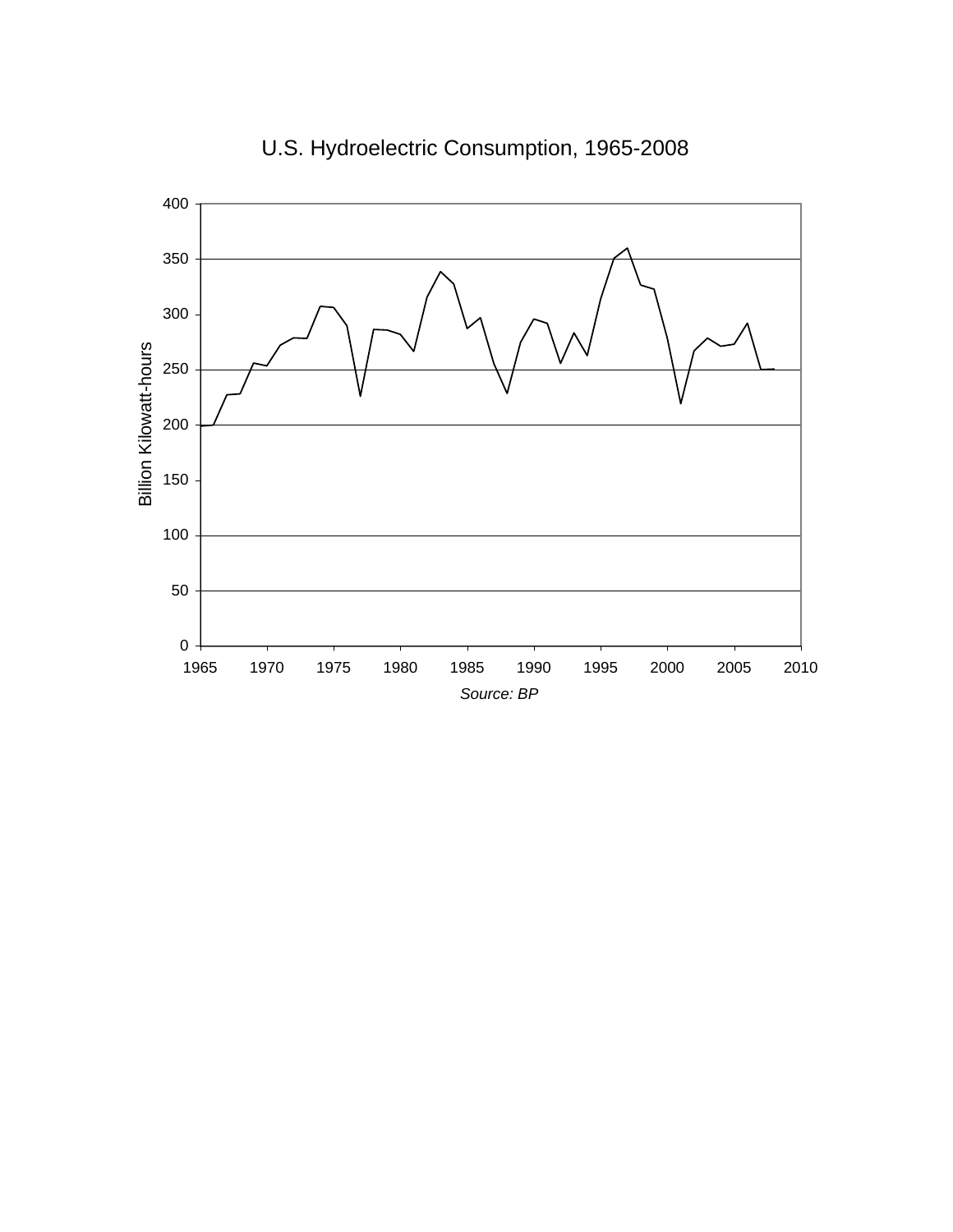

U.S. Hydroelectric Consumption, 1965-2008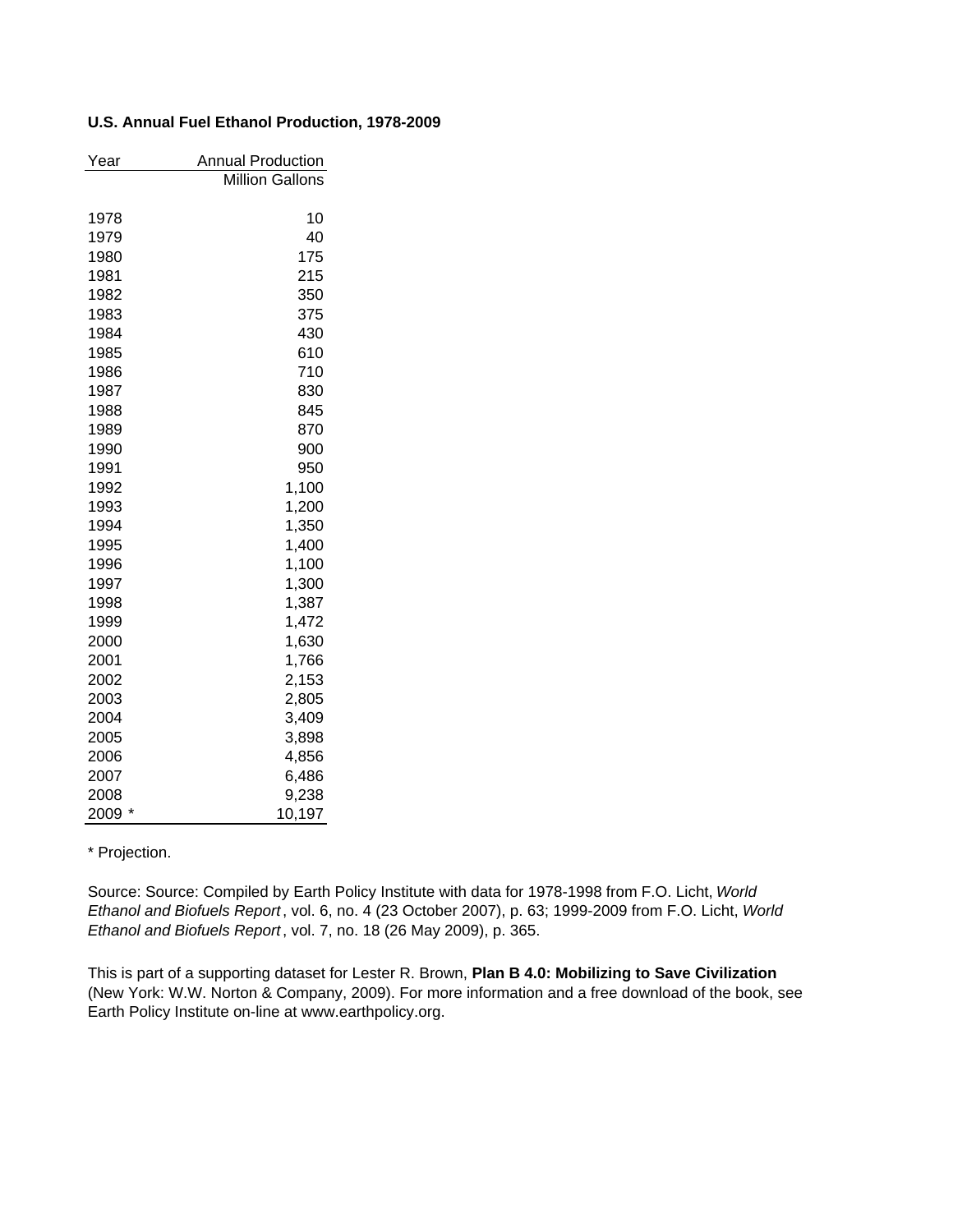#### **U.S. Annual Fuel Ethanol Production, 1978-2009**

| Year      | <b>Annual Production</b> |
|-----------|--------------------------|
|           | <b>Million Gallons</b>   |
|           |                          |
| 1978      | 10                       |
| 1979      | 40                       |
| 1980      | 175                      |
| 1981      | 215                      |
| 1982      | 350                      |
| 1983      | 375                      |
| 1984      | 430                      |
| 1985      | 610                      |
| 1986      | 710                      |
| 1987      | 830                      |
| 1988      | 845                      |
| 1989      | 870                      |
| 1990      | 900                      |
| 1991      | 950                      |
| 1992      | 1,100                    |
| 1993      | 1,200                    |
| 1994      | 1,350                    |
| 1995      | 1,400                    |
| 1996      | 1,100                    |
| 1997      | 1,300                    |
| 1998      | 1,387                    |
| 1999      | 1,472                    |
| 2000      | 1,630                    |
| 2001      | 1,766                    |
| 2002      | 2,153                    |
| 2003      | 2,805                    |
| 2004      | 3,409                    |
| 2005      | 3,898                    |
| 2006      | 4,856                    |
| 2007      | 6,486                    |
| 2008      | 9,238                    |
| 2009<br>* | 10,197                   |

\* Projection.

Source: Source: Compiled by Earth Policy Institute with data for 1978-1998 from F.O. Licht, *World Ethanol and Biofuels Report*, vol. 6, no. 4 (23 October 2007), p. 63; 1999-2009 from F.O. Licht, *World Ethanol and Biofuels Report*, vol. 7, no. 18 (26 May 2009), p. 365.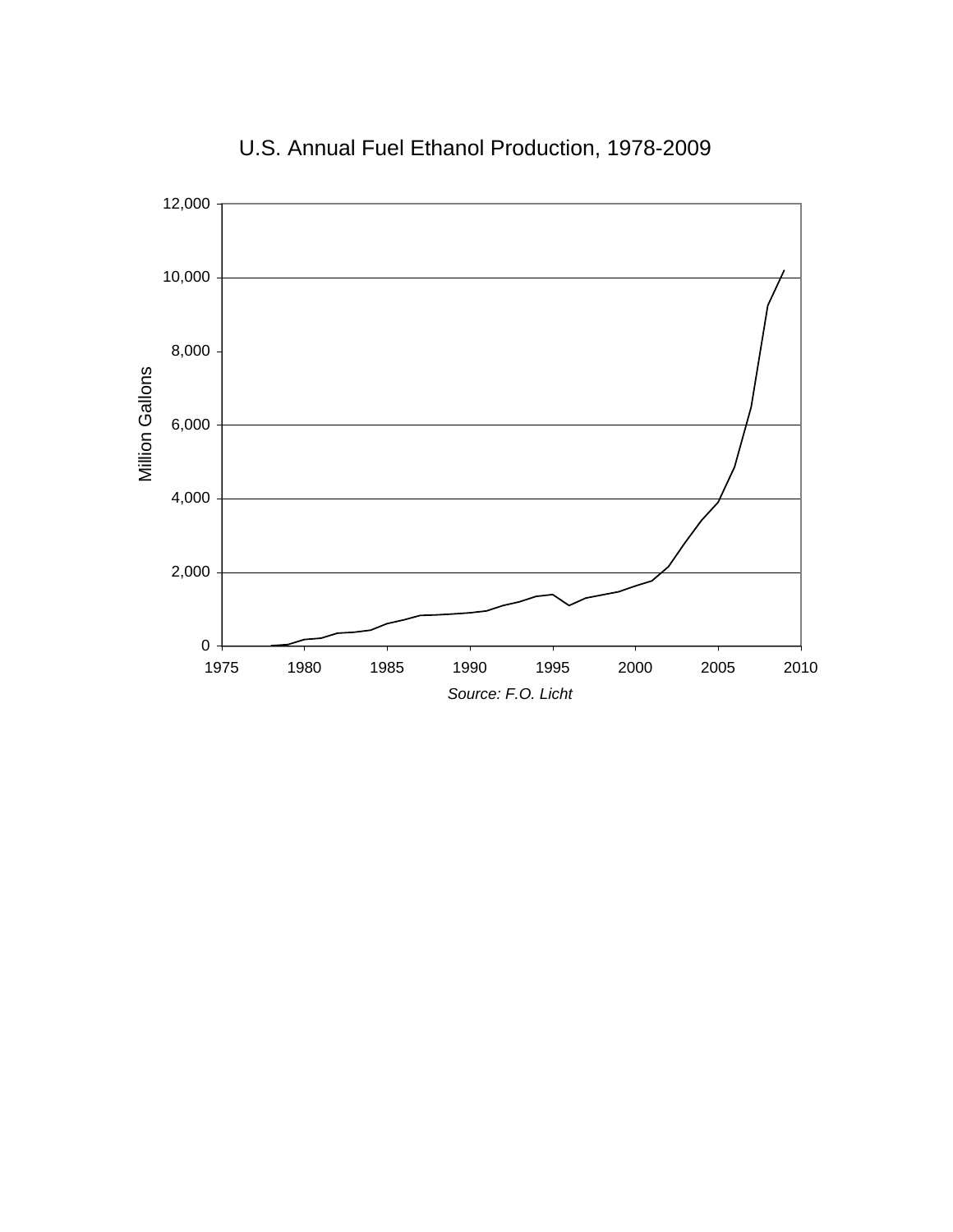

U.S. Annual Fuel Ethanol Production, 1978-2009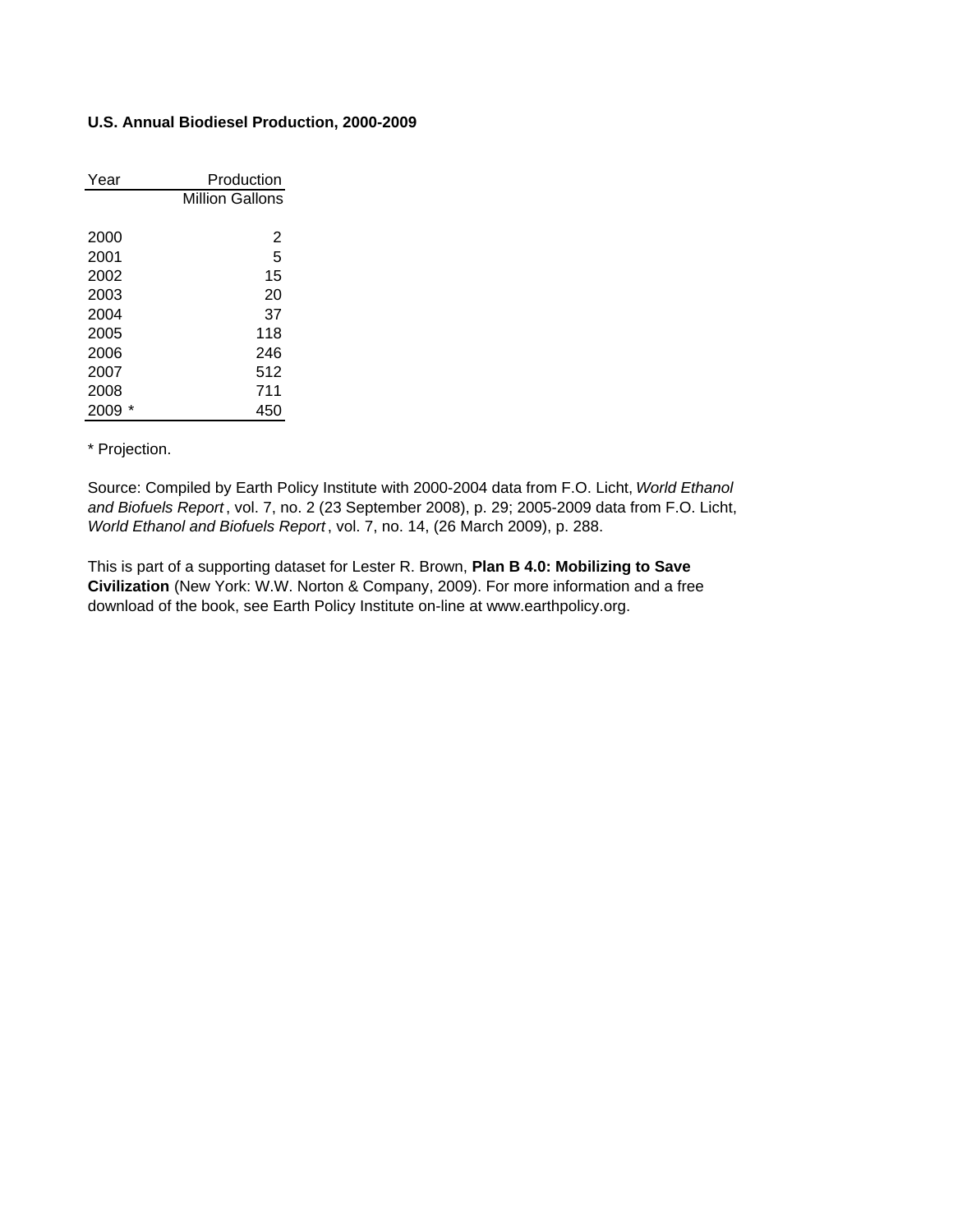### **U.S. Annual Biodiesel Production, 2000-2009**

| Year | Production             |
|------|------------------------|
|      | <b>Million Gallons</b> |
|      |                        |
| 2000 | 2                      |
| 2001 | 5                      |
| 2002 | 15                     |
| 2003 | 20                     |
| 2004 | 37                     |
| 2005 | 118                    |
| 2006 | 246                    |
| 2007 | 512                    |
| 2008 | 711                    |
| 2009 | 450                    |

\* Projection.

Source: Compiled by Earth Policy Institute with 2000-2004 data from F.O. Licht, *World Ethanol and Biofuels Report* , vol. 7, no. 2 (23 September 2008), p. 29; 2005-2009 data from F.O. Licht, *World Ethanol and Biofuels Report* , vol. 7, no. 14, (26 March 2009), p. 288.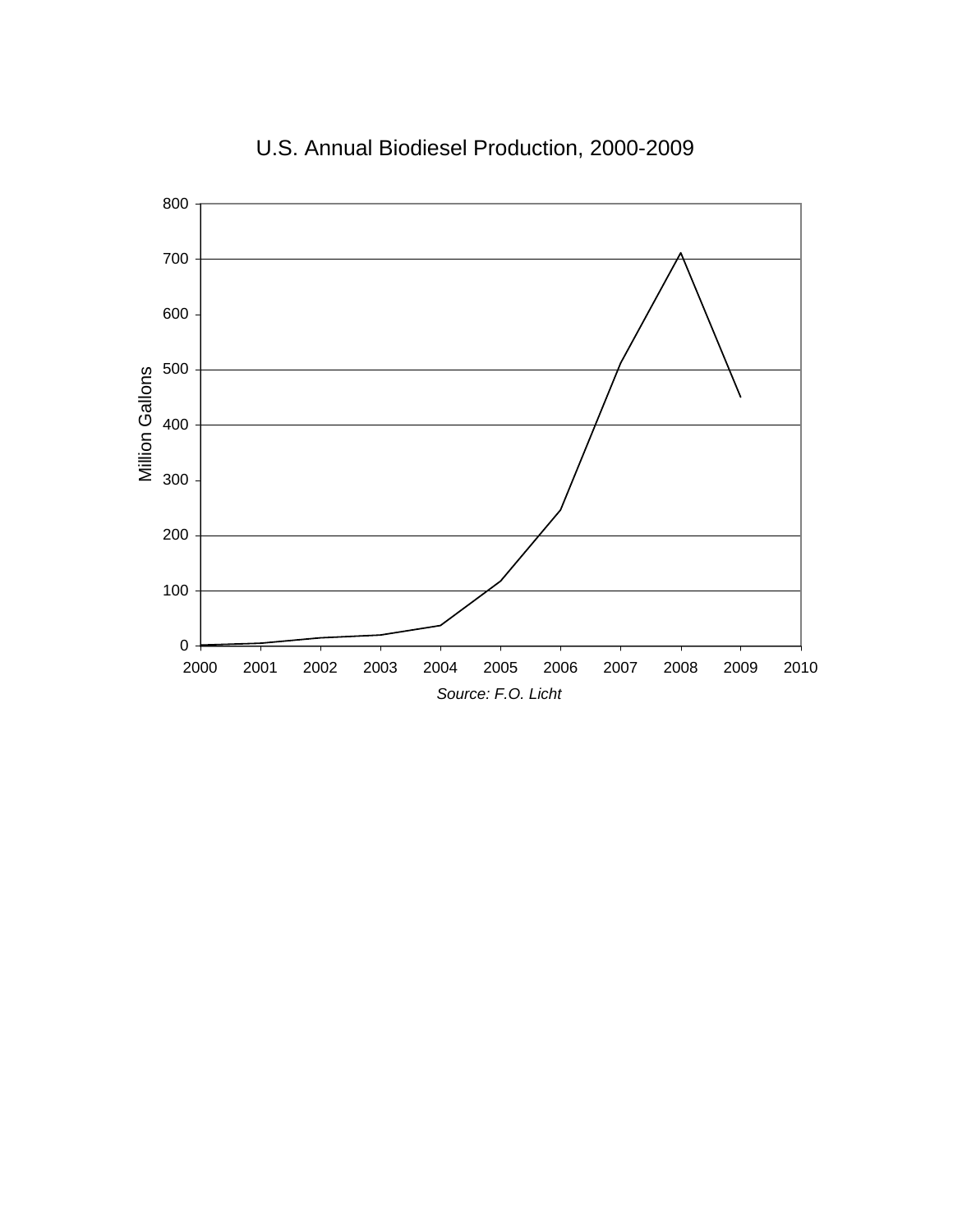

# U.S. Annual Biodiesel Production, 2000-2009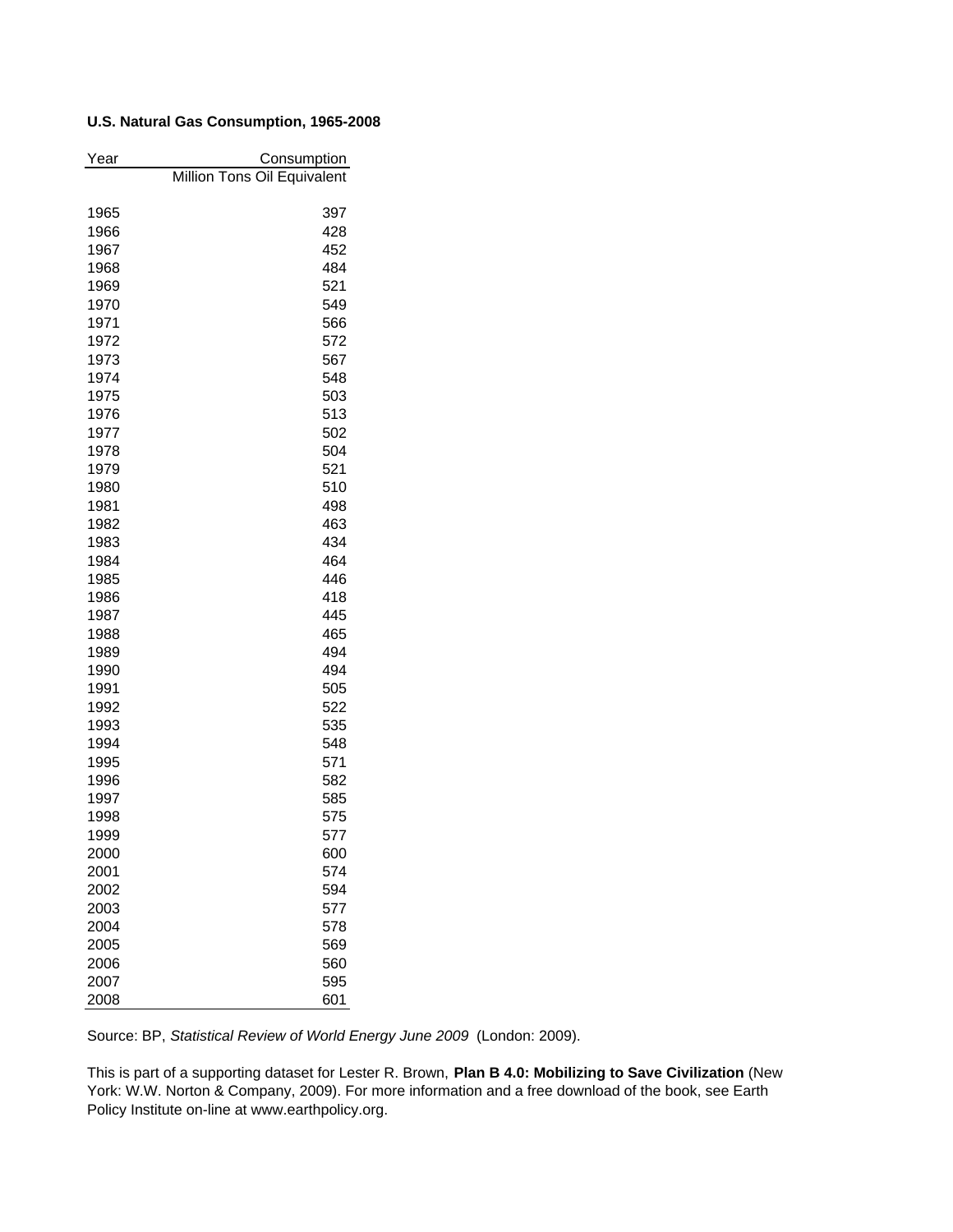## **U.S. Natural Gas Consumption, 1965-2008**

| Year         | Consumption                 |
|--------------|-----------------------------|
|              | Million Tons Oil Equivalent |
|              |                             |
| 1965         | 397                         |
| 1966         | 428                         |
| 1967         | 452                         |
| 1968         | 484                         |
| 1969         | 521                         |
| 1970         | 549                         |
| 1971         | 566                         |
| 1972         | 572                         |
| 1973         | 567                         |
| 1974         | 548                         |
| 1975         | 503                         |
| 1976         | 513                         |
| 1977         | 502                         |
| 1978         | 504                         |
| 1979         | 521                         |
| 1980<br>1981 | 510<br>498                  |
| 1982         | 463                         |
| 1983         | 434                         |
| 1984         | 464                         |
| 1985         | 446                         |
| 1986         | 418                         |
| 1987         | 445                         |
| 1988         | 465                         |
| 1989         | 494                         |
| 1990         | 494                         |
| 1991         | 505                         |
| 1992         | 522                         |
| 1993         | 535                         |
| 1994         | 548                         |
| 1995         | 571                         |
| 1996         | 582                         |
| 1997         | 585                         |
| 1998         | 575                         |
| 1999         | 577                         |
| 2000         | 600                         |
| 2001         | 574                         |
| 2002         | 594                         |
| 2003         | 577                         |
| 2004         | 578                         |
| 2005         | 569                         |
| 2006         | 560                         |
| 2007         | 595                         |
| 2008         | 601                         |

Source: BP, *Statistical Review of World Energy June 2009* (London: 2009).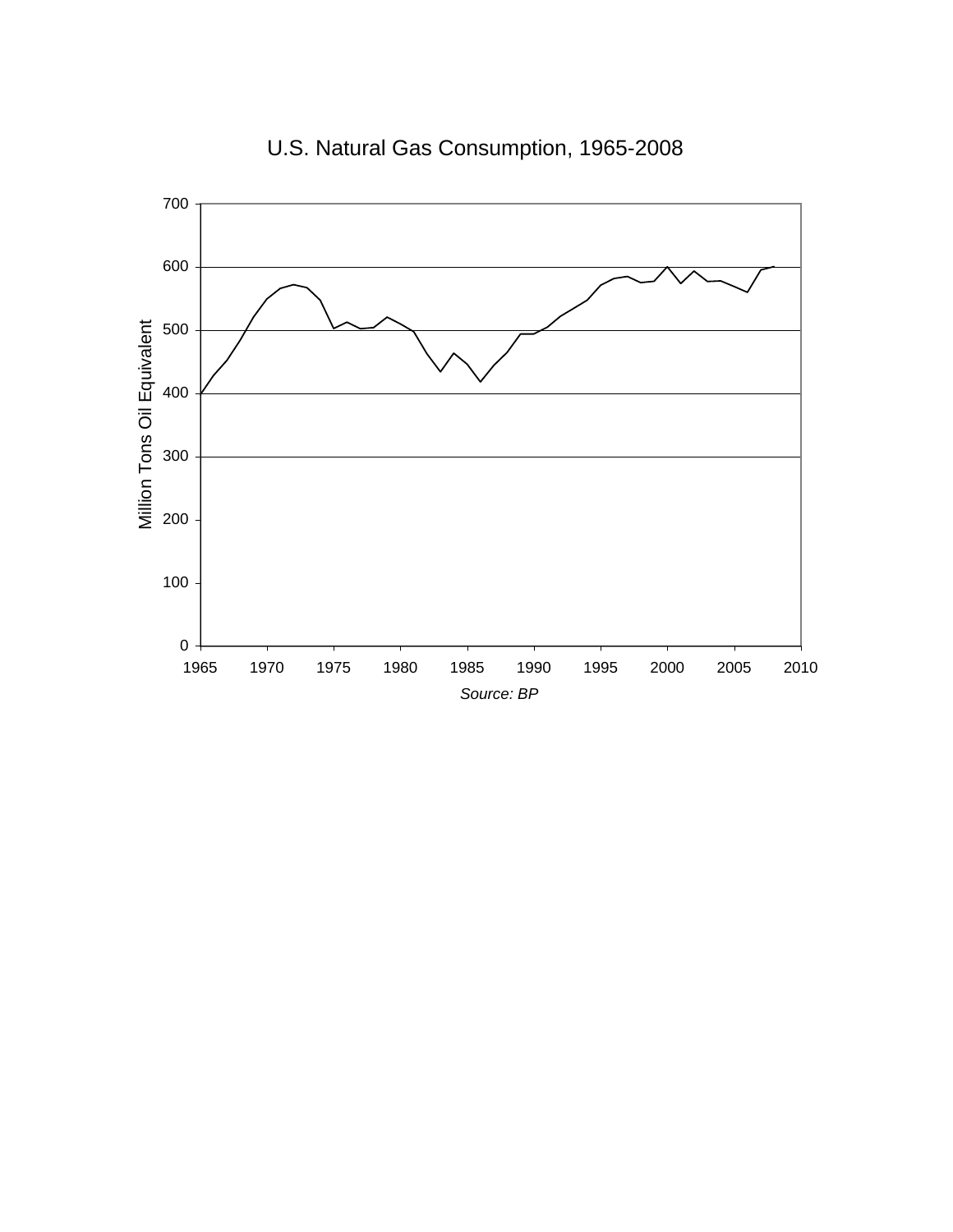

U.S. Natural Gas Consumption, 1965-2008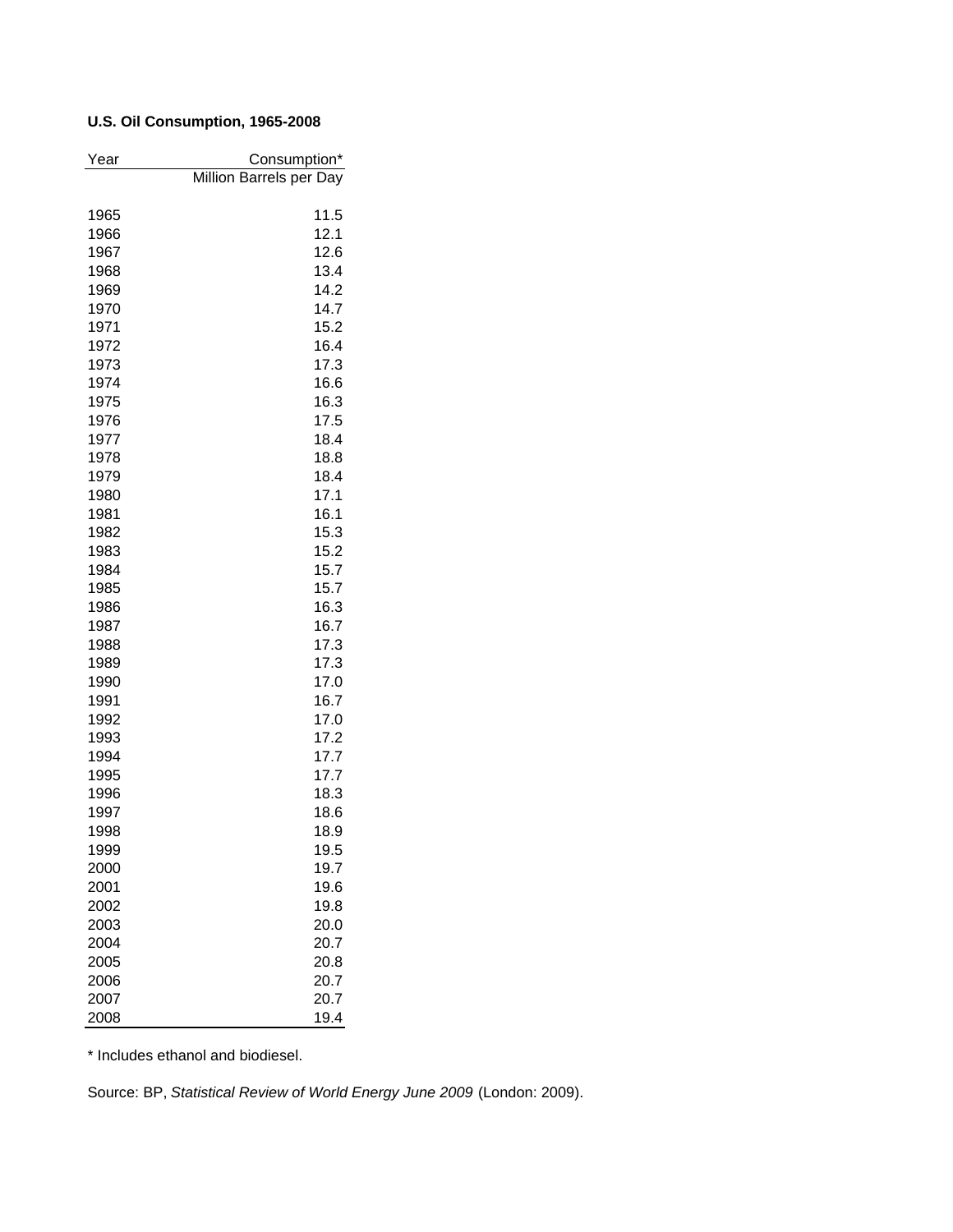## **U.S. Oil Consumption, 1965-2008**

| Year         | Consumption*            |
|--------------|-------------------------|
|              | Million Barrels per Day |
|              |                         |
| 1965         | 11.5                    |
| 1966         | 12.1                    |
| 1967         | 12.6                    |
| 1968         | 13.4                    |
| 1969         | 14.2                    |
| 1970         | 14.7                    |
| 1971         | 15.2                    |
| 1972         | 16.4                    |
| 1973         | 17.3                    |
| 1974         | 16.6                    |
| 1975         | 16.3                    |
| 1976         | 17.5                    |
| 1977         | 18.4                    |
| 1978         | 18.8                    |
| 1979         | 18.4                    |
| 1980         | 17.1                    |
| 1981         | 16.1                    |
| 1982<br>1983 | 15.3<br>15.2            |
| 1984         | 15.7                    |
| 1985         | 15.7                    |
| 1986         | 16.3                    |
| 1987         | 16.7                    |
| 1988         | 17.3                    |
| 1989         | 17.3                    |
| 1990         | 17.0                    |
| 1991         | 16.7                    |
| 1992         | 17.0                    |
| 1993         | 17.2                    |
| 1994         | 17.7                    |
| 1995         | 17.7                    |
| 1996         | 18.3                    |
| 1997         | 18.6                    |
| 1998         | 18.9                    |
| 1999         | 19.5                    |
| 2000         | 19.7                    |
| 2001         | 19.6                    |
| 2002         | 19.8                    |
| 2003         | 20.0                    |
| 2004         | 20.7                    |
| 2005         | 20.8                    |
| 2006         | 20.7                    |
| 2007         | 20.7                    |
| 2008         | 19.4                    |

\* Includes ethanol and biodiesel.

Source: BP, *Statistical Review of World Energy June 2009* (London: 2009).